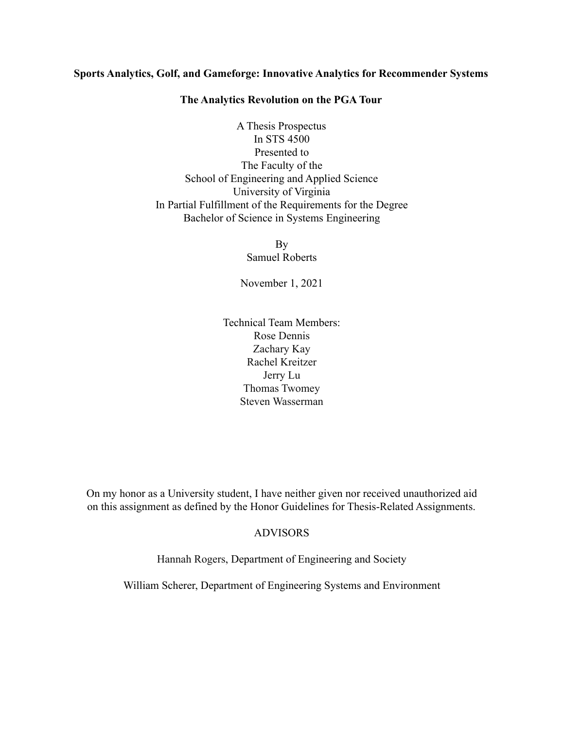## **Sports Analytics, Golf, and Gameforge: Innovative Analytics for Recommender Systems**

### **The Analytics Revolution on the PGA Tour**

A Thesis Prospectus In STS 4500 Presented to The Faculty of the School of Engineering and Applied Science University of Virginia In Partial Fulfillment of the Requirements for the Degree Bachelor of Science in Systems Engineering

> By Samuel Roberts

November 1, 2021

Technical Team Members: Rose Dennis Zachary Kay Rachel Kreitzer Jerry Lu Thomas Twomey Steven Wasserman

On my honor as a University student, I have neither given nor received unauthorized aid on this assignment as defined by the Honor Guidelines for Thesis-Related Assignments.

# ADVISORS

Hannah Rogers, Department of Engineering and Society

William Scherer, Department of Engineering Systems and Environment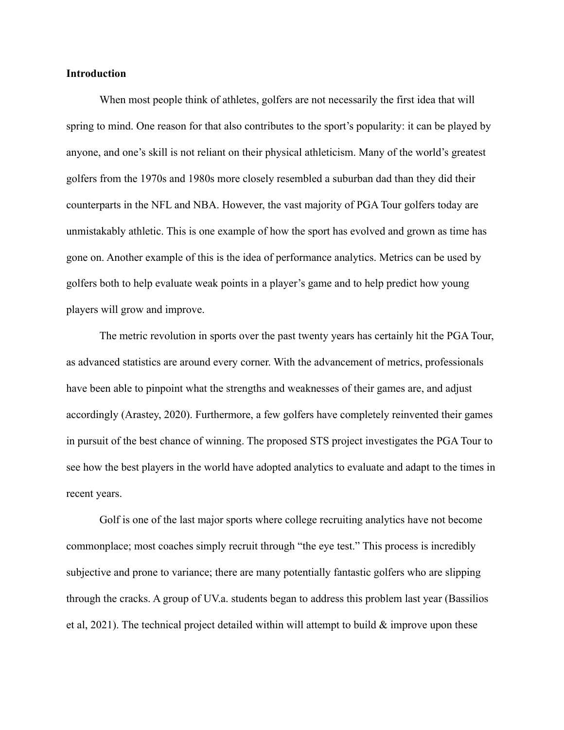### **Introduction**

When most people think of athletes, golfers are not necessarily the first idea that will spring to mind. One reason for that also contributes to the sport's popularity: it can be played by anyone, and one's skill is not reliant on their physical athleticism. Many of the world's greatest golfers from the 1970s and 1980s more closely resembled a suburban dad than they did their counterparts in the NFL and NBA. However, the vast majority of PGA Tour golfers today are unmistakably athletic. This is one example of how the sport has evolved and grown as time has gone on. Another example of this is the idea of performance analytics. Metrics can be used by golfers both to help evaluate weak points in a player's game and to help predict how young players will grow and improve.

The metric revolution in sports over the past twenty years has certainly hit the PGA Tour, as advanced statistics are around every corner. With the advancement of metrics, professionals have been able to pinpoint what the strengths and weaknesses of their games are, and adjust accordingly (Arastey, 2020). Furthermore, a few golfers have completely reinvented their games in pursuit of the best chance of winning. The proposed STS project investigates the PGA Tour to see how the best players in the world have adopted analytics to evaluate and adapt to the times in recent years.

Golf is one of the last major sports where college recruiting analytics have not become commonplace; most coaches simply recruit through "the eye test." This process is incredibly subjective and prone to variance; there are many potentially fantastic golfers who are slipping through the cracks. A group of UV.a. students began to address this problem last year (Bassilios et al, 2021). The technical project detailed within will attempt to build  $\&$  improve upon these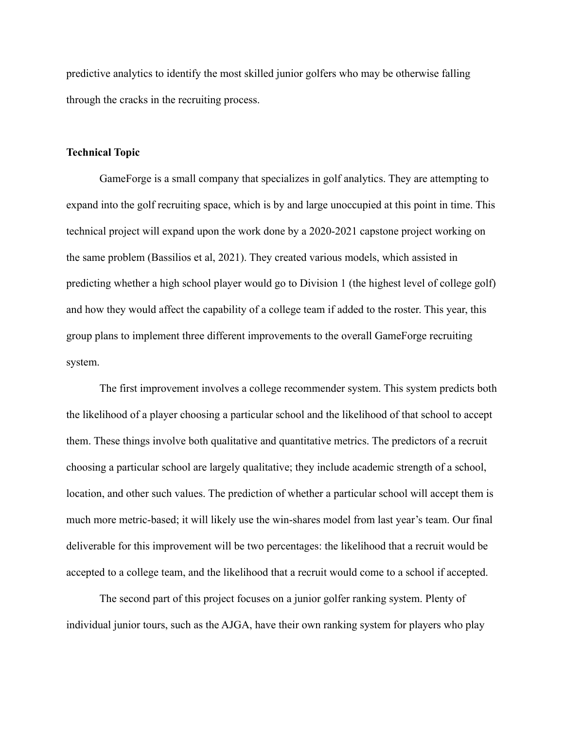predictive analytics to identify the most skilled junior golfers who may be otherwise falling through the cracks in the recruiting process.

# **Technical Topic**

GameForge is a small company that specializes in golf analytics. They are attempting to expand into the golf recruiting space, which is by and large unoccupied at this point in time. This technical project will expand upon the work done by a 2020-2021 capstone project working on the same problem (Bassilios et al, 2021). They created various models, which assisted in predicting whether a high school player would go to Division 1 (the highest level of college golf) and how they would affect the capability of a college team if added to the roster. This year, this group plans to implement three different improvements to the overall GameForge recruiting system.

The first improvement involves a college recommender system. This system predicts both the likelihood of a player choosing a particular school and the likelihood of that school to accept them. These things involve both qualitative and quantitative metrics. The predictors of a recruit choosing a particular school are largely qualitative; they include academic strength of a school, location, and other such values. The prediction of whether a particular school will accept them is much more metric-based; it will likely use the win-shares model from last year's team. Our final deliverable for this improvement will be two percentages: the likelihood that a recruit would be accepted to a college team, and the likelihood that a recruit would come to a school if accepted.

The second part of this project focuses on a junior golfer ranking system. Plenty of individual junior tours, such as the AJGA, have their own ranking system for players who play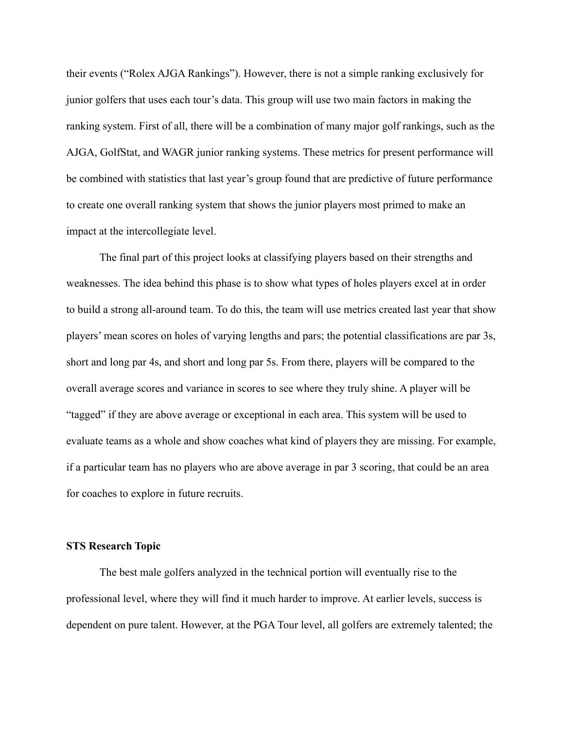their events ("Rolex AJGA Rankings"). However, there is not a simple ranking exclusively for junior golfers that uses each tour's data. This group will use two main factors in making the ranking system. First of all, there will be a combination of many major golf rankings, such as the AJGA, GolfStat, and WAGR junior ranking systems. These metrics for present performance will be combined with statistics that last year's group found that are predictive of future performance to create one overall ranking system that shows the junior players most primed to make an impact at the intercollegiate level.

The final part of this project looks at classifying players based on their strengths and weaknesses. The idea behind this phase is to show what types of holes players excel at in order to build a strong all-around team. To do this, the team will use metrics created last year that show players' mean scores on holes of varying lengths and pars; the potential classifications are par 3s, short and long par 4s, and short and long par 5s. From there, players will be compared to the overall average scores and variance in scores to see where they truly shine. A player will be "tagged" if they are above average or exceptional in each area. This system will be used to evaluate teams as a whole and show coaches what kind of players they are missing. For example, if a particular team has no players who are above average in par 3 scoring, that could be an area for coaches to explore in future recruits.

## **STS Research Topic**

The best male golfers analyzed in the technical portion will eventually rise to the professional level, where they will find it much harder to improve. At earlier levels, success is dependent on pure talent. However, at the PGA Tour level, all golfers are extremely talented; the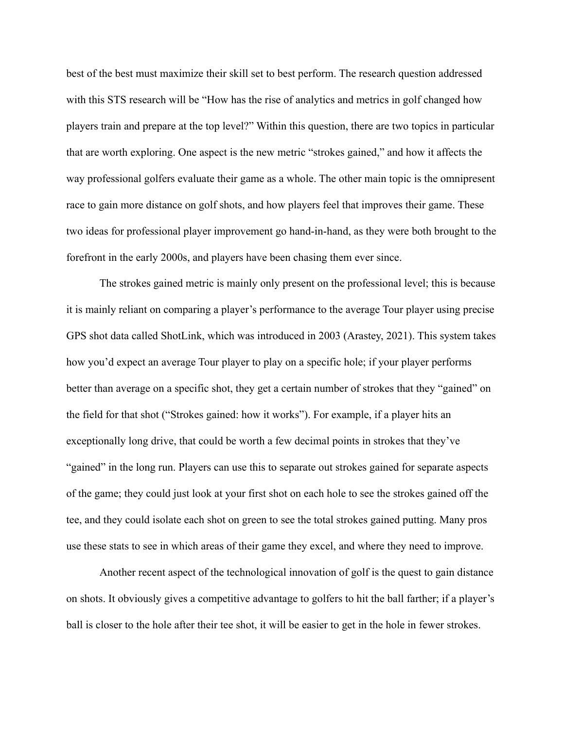best of the best must maximize their skill set to best perform. The research question addressed with this STS research will be "How has the rise of analytics and metrics in golf changed how players train and prepare at the top level?" Within this question, there are two topics in particular that are worth exploring. One aspect is the new metric "strokes gained," and how it affects the way professional golfers evaluate their game as a whole. The other main topic is the omnipresent race to gain more distance on golf shots, and how players feel that improves their game. These two ideas for professional player improvement go hand-in-hand, as they were both brought to the forefront in the early 2000s, and players have been chasing them ever since.

The strokes gained metric is mainly only present on the professional level; this is because it is mainly reliant on comparing a player's performance to the average Tour player using precise GPS shot data called ShotLink, which was introduced in 2003 (Arastey, 2021). This system takes how you'd expect an average Tour player to play on a specific hole; if your player performs better than average on a specific shot, they get a certain number of strokes that they "gained" on the field for that shot ("Strokes gained: how it works"). For example, if a player hits an exceptionally long drive, that could be worth a few decimal points in strokes that they've "gained" in the long run. Players can use this to separate out strokes gained for separate aspects of the game; they could just look at your first shot on each hole to see the strokes gained off the tee, and they could isolate each shot on green to see the total strokes gained putting. Many pros use these stats to see in which areas of their game they excel, and where they need to improve.

Another recent aspect of the technological innovation of golf is the quest to gain distance on shots. It obviously gives a competitive advantage to golfers to hit the ball farther; if a player's ball is closer to the hole after their tee shot, it will be easier to get in the hole in fewer strokes.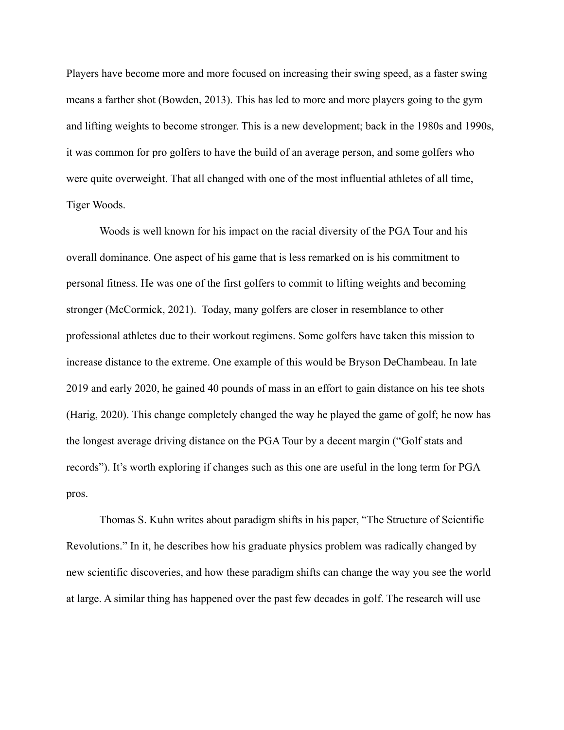Players have become more and more focused on increasing their swing speed, as a faster swing means a farther shot (Bowden, 2013). This has led to more and more players going to the gym and lifting weights to become stronger. This is a new development; back in the 1980s and 1990s, it was common for pro golfers to have the build of an average person, and some golfers who were quite overweight. That all changed with one of the most influential athletes of all time, Tiger Woods.

Woods is well known for his impact on the racial diversity of the PGA Tour and his overall dominance. One aspect of his game that is less remarked on is his commitment to personal fitness. He was one of the first golfers to commit to lifting weights and becoming stronger (McCormick, 2021). Today, many golfers are closer in resemblance to other professional athletes due to their workout regimens. Some golfers have taken this mission to increase distance to the extreme. One example of this would be Bryson DeChambeau. In late 2019 and early 2020, he gained 40 pounds of mass in an effort to gain distance on his tee shots (Harig, 2020). This change completely changed the way he played the game of golf; he now has the longest average driving distance on the PGA Tour by a decent margin ("Golf stats and records"). It's worth exploring if changes such as this one are useful in the long term for PGA pros.

Thomas S. Kuhn writes about paradigm shifts in his paper, "The Structure of Scientific Revolutions." In it, he describes how his graduate physics problem was radically changed by new scientific discoveries, and how these paradigm shifts can change the way you see the world at large. A similar thing has happened over the past few decades in golf. The research will use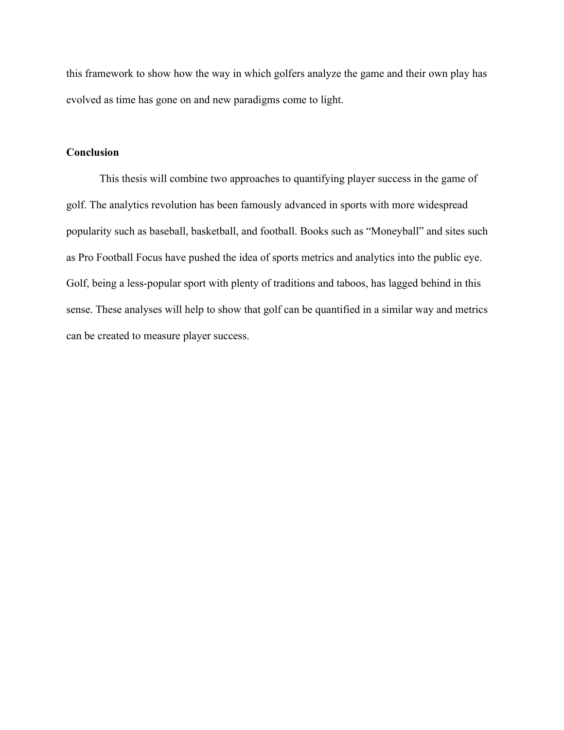this framework to show how the way in which golfers analyze the game and their own play has evolved as time has gone on and new paradigms come to light.

# **Conclusion**

This thesis will combine two approaches to quantifying player success in the game of golf. The analytics revolution has been famously advanced in sports with more widespread popularity such as baseball, basketball, and football. Books such as "Moneyball" and sites such as Pro Football Focus have pushed the idea of sports metrics and analytics into the public eye. Golf, being a less-popular sport with plenty of traditions and taboos, has lagged behind in this sense. These analyses will help to show that golf can be quantified in a similar way and metrics can be created to measure player success.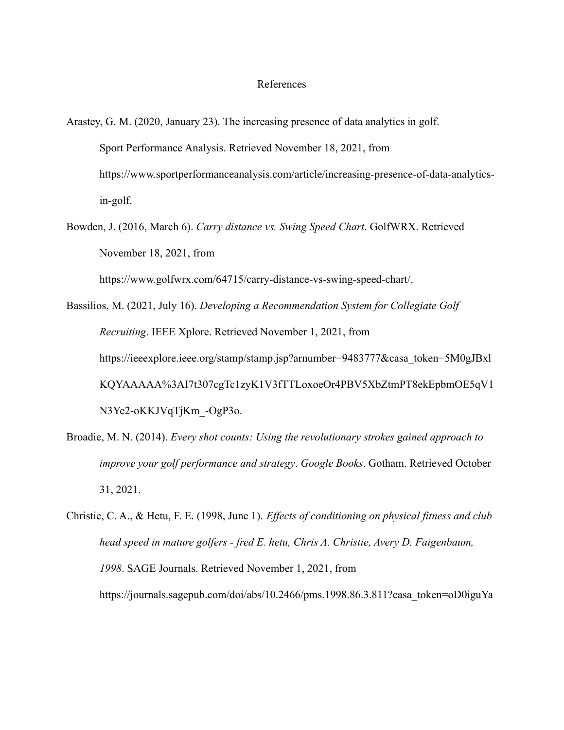#### References

- Arastey, G. M. (2020, January 23). The increasing presence of data analytics in golf. Sport Performance Analysis. Retrieved November 18, 2021, from https://www.sportperformanceanalysis.com/article/increasing-presence-of-data-analyticsin-golf.
- Bowden, J. (2016, March 6). *Carry distance vs. Swing Speed Chart*. GolfWRX. Retrieved November 18, 2021, from

https://www.golfwrx.com/64715/carry-distance-vs-swing-speed-chart/.

Bassilios, M. (2021, July 16). *Developing a Recommendation System for Collegiate Golf Recruiting*. IEEE Xplore. Retrieved November 1, 2021, from https://ieeexplore.ieee.org/stamp/stamp.jsp?arnumber=9483777&casa\_token=5M0gJBxl KQYAAAAA%3AI7t307cgTc1zyK1V3fTTLoxoeOr4PBV5XbZtmPT8ekEpbmOE5qV1 N3Ye2-oKKJVqTjKm\_-OgP3o.

Broadie, M. N. (2014). *Every shot counts: Using the revolutionary strokes gained approach to improve your golf performance and strategy*. *Google Books*. Gotham. Retrieved October 31, 2021.

Christie, C. A., & Hetu, F. E. (1998, June 1). *Effects of conditioning on physical fitness and club head speed in mature golfers - fred E. hetu, Chris A. Christie, Avery D. Faigenbaum, 1998*. SAGE Journals. Retrieved November 1, 2021, from https://journals.sagepub.com/doi/abs/10.2466/pms.1998.86.3.811?casa\_token=oD0iguYa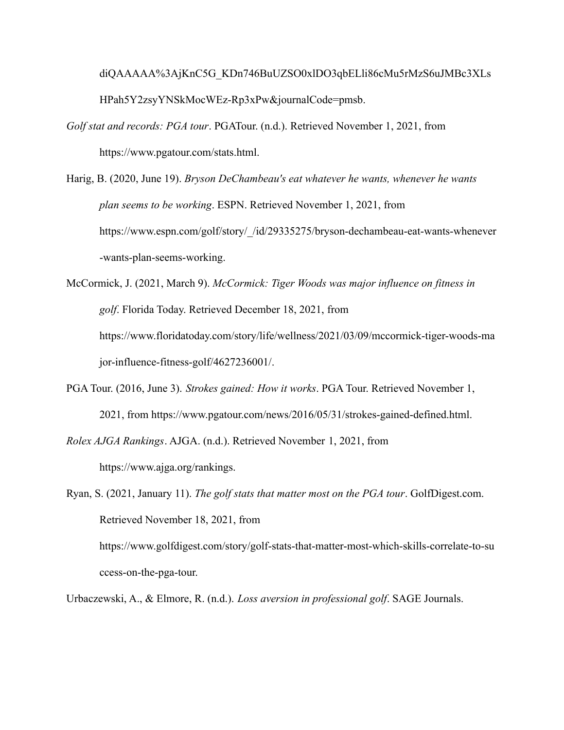diQAAAAA%3AjKnC5G\_KDn746BuUZSO0xlDO3qbELli86cMu5rMzS6uJMBc3XLs HPah5Y2zsyYNSkMocWEz-Rp3xPw&journalCode=pmsb.

- *Golf stat and records: PGA tour*. PGATour. (n.d.). Retrieved November 1, 2021, from https://www.pgatour.com/stats.html.
- Harig, B. (2020, June 19). *Bryson DeChambeau's eat whatever he wants, whenever he wants plan seems to be working*. ESPN. Retrieved November 1, 2021, from https://www.espn.com/golf/story/\_/id/29335275/bryson-dechambeau-eat-wants-whenever -wants-plan-seems-working.

McCormick, J. (2021, March 9). *McCormick: Tiger Woods was major influence on fitness in golf*. Florida Today. Retrieved December 18, 2021, from https://www.floridatoday.com/story/life/wellness/2021/03/09/mccormick-tiger-woods-ma jor-influence-fitness-golf/4627236001/.

PGA Tour. (2016, June 3). *Strokes gained: How it works*. PGA Tour. Retrieved November 1, 2021, from https://www.pgatour.com/news/2016/05/31/strokes-gained-defined.html.

*Rolex AJGA Rankings*. AJGA. (n.d.). Retrieved November 1, 2021, from

https://www.ajga.org/rankings.

Ryan, S. (2021, January 11). *The golf stats that matter most on the PGA tour*. GolfDigest.com. Retrieved November 18, 2021, from

https://www.golfdigest.com/story/golf-stats-that-matter-most-which-skills-correlate-to-su ccess-on-the-pga-tour.

Urbaczewski, A., & Elmore, R. (n.d.). *Loss aversion in professional golf*. SAGE Journals.